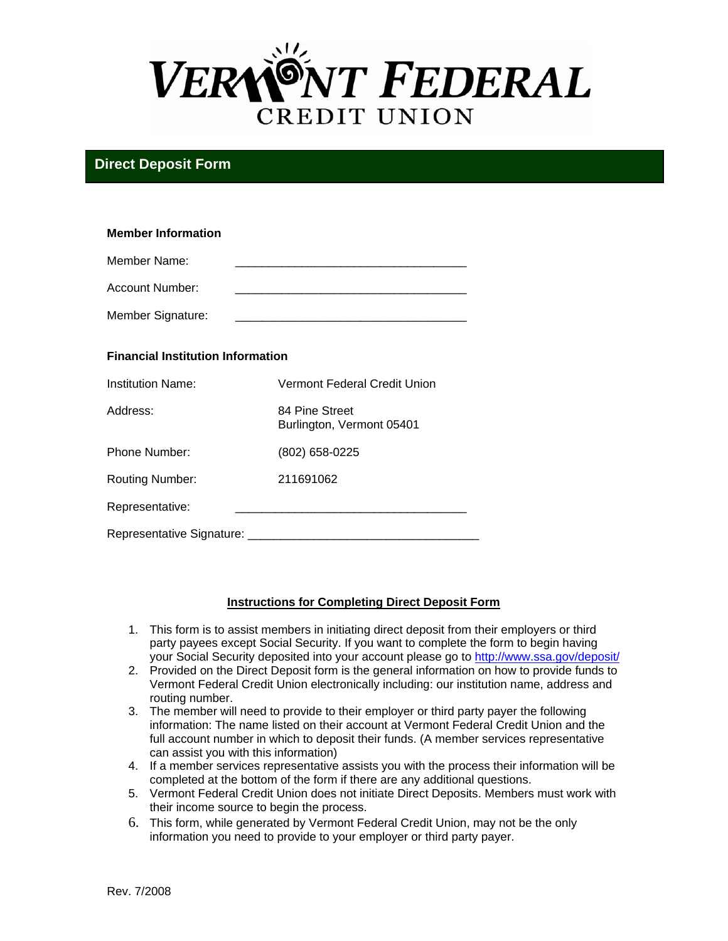

# **Direct Deposit Form**

#### **Member Information**

| Member Name:      |  |
|-------------------|--|
| Account Number:   |  |
| Member Signature: |  |

### **Financial Institution Information**

| Institution Name:         | Vermont Federal Credit Union                |
|---------------------------|---------------------------------------------|
| Address:                  | 84 Pine Street<br>Burlington, Vermont 05401 |
| Phone Number:             | (802) 658-0225                              |
| <b>Routing Number:</b>    | 211691062                                   |
| Representative:           |                                             |
| Representative Signature: |                                             |

## **Instructions for Completing Direct Deposit Form**

- 1. This form is to assist members in initiating direct deposit from their employers or third party payees except Social Security. If you want to complete the form to begin having your Social Security deposited into your account please go to http://www.ssa.gov/deposit/
- 2. Provided on the Direct Deposit form is the general information on how to provide funds to Vermont Federal Credit Union electronically including: our institution name, address and routing number.
- 3. The member will need to provide to their employer or third party payer the following information: The name listed on their account at Vermont Federal Credit Union and the full account number in which to deposit their funds. (A member services representative can assist you with this information)
- 4. If a member services representative assists you with the process their information will be completed at the bottom of the form if there are any additional questions.
- 5. Vermont Federal Credit Union does not initiate Direct Deposits. Members must work with their income source to begin the process.
- 6. This form, while generated by Vermont Federal Credit Union, may not be the only information you need to provide to your employer or third party payer.